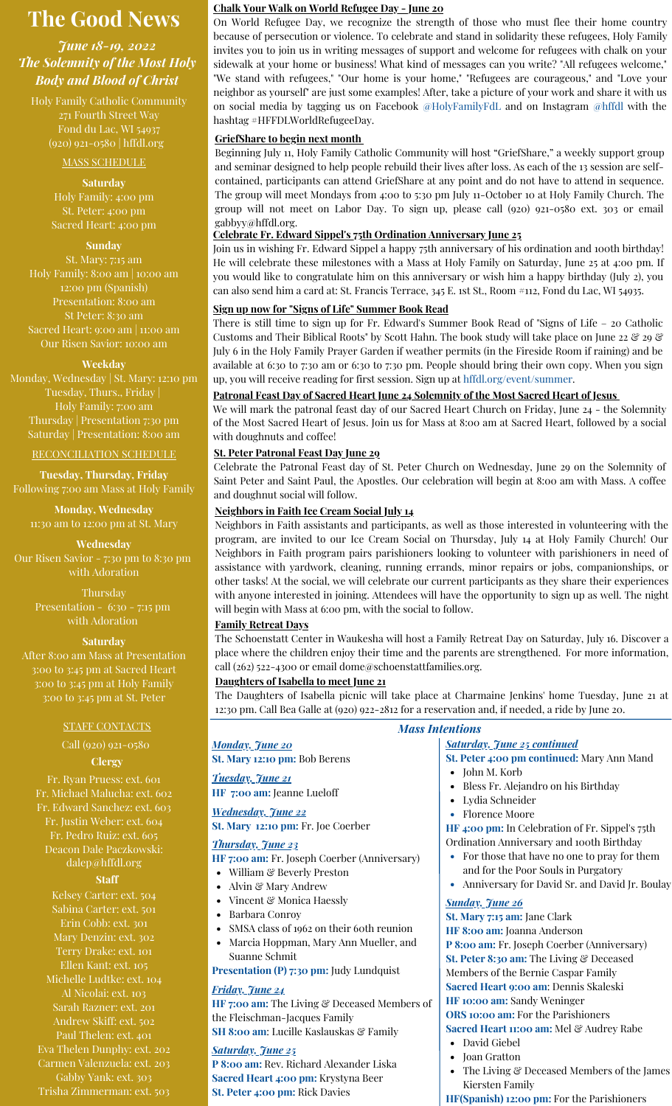# **The Good News**

# *June 18-19, 2022 The Solemnity of the Most Holy Body and Blood of Christ*

Holy Family Catholic Community 271 Fourth Street Way Fond du Lac, WI 54937 (920) 921-0580 | hffdl.org

#### MASS SCHEDULE

**Saturday**

Holy Family: 4:00 pm St. Peter: 4:00 pm Sacred Heart: 4:00 pm

#### **Sunday**

St. Mary: 7:15 am Holy Family: 8:00 am | 10:00 am 12:00 pm (Spanish) Presentation: 8:00 am St Peter: 8:30 am Sacred Heart: 9:00 am | 11:00 am Our Risen Savior: 10:00 am

#### **Weekday**

Monday, Wednesday | St. Mary: 12:10 pm Tuesday, Thurs., Friday | Holy Family: 7:00 am Thursday | Presentation 7:30 pm Saturday | Presentation: 8:00 am

#### RECONCILIATION SCHEDULE

**Tuesday, Thursday, Friday** Following 7:00 am Mass at Holy Family

**Monday, Wednesday** 11:30 am to 12:00 pm at St. Mary

**Wednesday** Our Risen Savior - 7:30 pm to 8:30 pm with Adoration

> Thursday Presentation - 6:30 - 7:15 pm with Adoration

#### **Saturday**

After 8:00 am Mass at Presentation 3:00 to 3:45 pm at Sacred Heart 3:00 to 3:45 pm at Holy Family 3:00 to 3:45 pm at St. Peter

#### STAFF CONTACTS

**Clergy** Call (920) 921-0580

Fr. Ryan Pruess: ext. 601 Fr. Michael Malucha: ext. 602 Fr. Edward Sanchez: ext. 603 Fr. Justin Weber: ext. 604 Fr. Pedro Ruiz: ext. 605 Deacon Dale Paczkowski: [dalep@hffdl.org](mailto:dalep@hffdl.org)

#### **Staff**

Kelsey Carter: ext. 504 Sabina Carter: ext. 501 Erin Cobb: ext. 301 Mary Denzin: ext. 302 Terry Drake: ext. 101 Ellen Kant: ext. 105 Michelle Ludtke: ext. 104 Al Nicolai: ext. 103 Sarah Razner: ext. 201 Andrew Skiff: ext. 502 Paul Thelen: ext. 401 Eva Thelen Dunphy: ext. 202 Carmen Valenzuela: ext. 203 Gabby Yank: ext. 303 Trisha Zimmerman: ext. 503

#### **Chalk Your Walk on World Refugee Day - June 20**

On World Refugee Day, we recognize the strength of those who must flee their home country because of persecution or violence. To celebrate and stand in solidarity these refugees, Holy Family invites you to join us in writing messages of support and welcome for refugees with chalk on your sidewalk at your home or business! What kind of messages can you write? "All refugees welcome," "We stand with refugees," "Our home is your home," "Refugees are courageous," and "Love your neighbor as yourself" are just some examples! After, take a picture of your work and share it with us on social media by tagging us on Facebook [@HolyFamilyFdL](https://www.facebook.com/HolyFamilyFdL) and on Instagram [@hffdl](https://www.instagram.com/hffdl/) with the hashtag #HFFDLWorldRefugeeDay.

#### **GriefShare to begin next month**

Beginning July 11, Holy Family Catholic Community will host "GriefShare," a weekly support group and seminar designed to help people rebuild their lives after loss. As each of the 13 session are selfcontained, participants can attend GriefShare at any point and do not have to attend in sequence. The group will meet Mondays from 4:00 to 5:30 pm July 11-October 10 at Holy Family Church. The group will not meet on Labor Day. To sign up, please call (920) 921-0580 ext. 303 or email gabbyy@hffdl.org.

#### **Celebrate Fr. Edward Sippel's 75th Ordination Anniversary June 25**

Join us in wishing Fr. Edward Sippel a happy 75th anniversary of his ordination and 100th birthday! He will celebrate these milestones with a Mass at Holy Family on Saturday, June 25 at 4:00 pm. If you would like to congratulate him on this anniversary or wish him a happy birthday (July 2), you can also send him a card at: St. Francis Terrace, 345 E. 1st St., Room #112, Fond du Lac, WI 54935.

#### **Sign up now for "Signs of Life" Summer Book Read**

There is still time to sign up for Fr. Edward's Summer Book Read of "Signs of Life – 20 Catholic Customs and Their Biblical Roots" by Scott Hahn. The book study will take place on June 22 & 29 & July 6 in the Holy Family Prayer Garden if weather permits (in the Fireside Room if raining) and be available at 6:30 to 7:30 am or 6:30 to 7:30 pm. People should bring their own copy. When you sign up, you will receive reading for first session. Sign up at [hffdl.org/event/summer.](http://hffdl.org/event/summer)

#### **Patronal Feast Day of Sacred Heart June 24 Solemnity of the Most Sacred Heart of Jesus**

We will mark the patronal feast day of our Sacred Heart Church on Friday, June 24 - the Solemnity of the Most Sacred Heart of Jesus. Join us for Mass at 8:00 am at Sacred Heart, followed by a social with doughnuts and coffee!

### **St. Peter Patronal Feast Day June 29**

Celebrate the Patronal Feast day of St. Peter Church on Wednesday, June 29 on the Solemnity of Saint Peter and Saint Paul, the Apostles. Our celebration will begin at 8:00 am with Mass. A coffee and doughnut social will follow.

## **Neighbors in Faith Ice Cream Social July 14**

Neighbors in Faith assistants and participants, as well as those interested in volunteering with the program, are invited to our Ice Cream Social on Thursday, July 14 at Holy Family Church! Our Neighbors in Faith program pairs parishioners looking to volunteer with parishioners in need of assistance with yardwork, cleaning, running errands, minor repairs or jobs, companionships, or other tasks! At the social, we will celebrate our current participants as they share their experiences with anyone interested in joining. Attendees will have the opportunity to sign up as well. The night will begin with Mass at 6:00 pm, with the social to follow.

#### **Family Retreat Days**

The Schoenstatt Center in Waukesha will host a Family Retreat Day on Saturday, July 16. Discover a place where the children enjoy their time and the parents are strengthened. For more information, call (262) 522-4300 or email dome@schoenstattfamilies.org.

# **Daughters of Isabella to meet June 21**

The Daughters of Isabella picnic will take place at Charmaine Jenkins' home Tuesday, June 21 at 12:30 pm. Call Bea Galle at (920) 922-2812 for a reservation and, if needed, a ride by June 20.

| <b>Mass Intentions</b> |                                                       |                                                                          |
|------------------------|-------------------------------------------------------|--------------------------------------------------------------------------|
|                        | <b>Monday</b> , <i>June 20</i>                        | <b>Saturday, June 25 continued</b>                                       |
|                        | St. Mary 12:10 pm: Bob Berens                         | St. Peter 4:00 pm continued: Mary Ann Mand                               |
|                        | <u>Tuesday, June 21</u><br>HF 7:00 am: Jeanne Lueloff | • John M. Korb<br>Bless Fr. Alejandro on his Birthday<br>Lydia Schneider |
|                        | <b>Wednesday</b> , June 22                            | <b>Florence Moore</b>                                                    |
|                        | St. Mary 12:10 pm: Fr. Joe Coerber                    | HF 4:00 pm: In Celebration of Fr. Sippel's 75th                          |
|                        | <u>Thursday, June 23</u>                              | Ordination Anniversary and 100th Birthday                                |
|                        | HF 7:00 am: Fr. Joseph Coerber (Anniversary)          | For those that have no one to pray for them                              |
|                        | William & Beverly Preston<br>٠                        | and for the Poor Souls in Purgatory                                      |
|                        | Alvin & Mary Andrew<br>٠                              | Anniversary for David Sr. and David Jr. Boulay                           |
|                        | Vincent & Monica Haessly<br>٠                         | <b>Sunday</b> , June 26                                                  |
|                        | Barbara Conroy<br>٠                                   | St. Mary 7:15 am: Jane Clark                                             |
|                        | SMSA class of 1962 on their 6oth reunion<br>٠         | HF 8:00 am: Joanna Anderson                                              |
|                        | Marcia Hoppman, Mary Ann Mueller, and<br>$\bullet$    | P 8:00 am: Fr. Joseph Coerber (Anniversary)                              |
|                        | Suanne Schmit                                         | St. Peter 8:30 am: The Living & Deceased                                 |
|                        | <b>Presentation (P) 7:30 pm: Judy Lundquist</b>       | Members of the Bernie Caspar Family                                      |
|                        | <u>Friday, June 24</u>                                | Sacred Heart 9:00 am: Dennis Skaleski                                    |
|                        | HF 7:00 am: The Living & Deceased Members of          | HF 10:00 am: Sandy Weninger                                              |
|                        | the Fleischman-Jacques Family                         | ORS 10:00 am: For the Parishioners                                       |
|                        |                                                       | lur di Milesil Dil                                                       |

# **SH 8:00 am**: Lucille Kaslauskas & Family *Saturday, June 25*

**P 8:00 am:** Rev. Richard Alexander Liska **Sacred Heart 4:00 pm:** Krystyna Beer **St. Peter 4:00 pm:** Rick Davies

**Sacred Heart 11:00 am:** Mel & Audrey Rabe

- David Giebel
- Joan Gratton
- The Living & Deceased Members of the James Kiersten Family

**HF(Spanish) 12:00 pm:** For the Parishioners